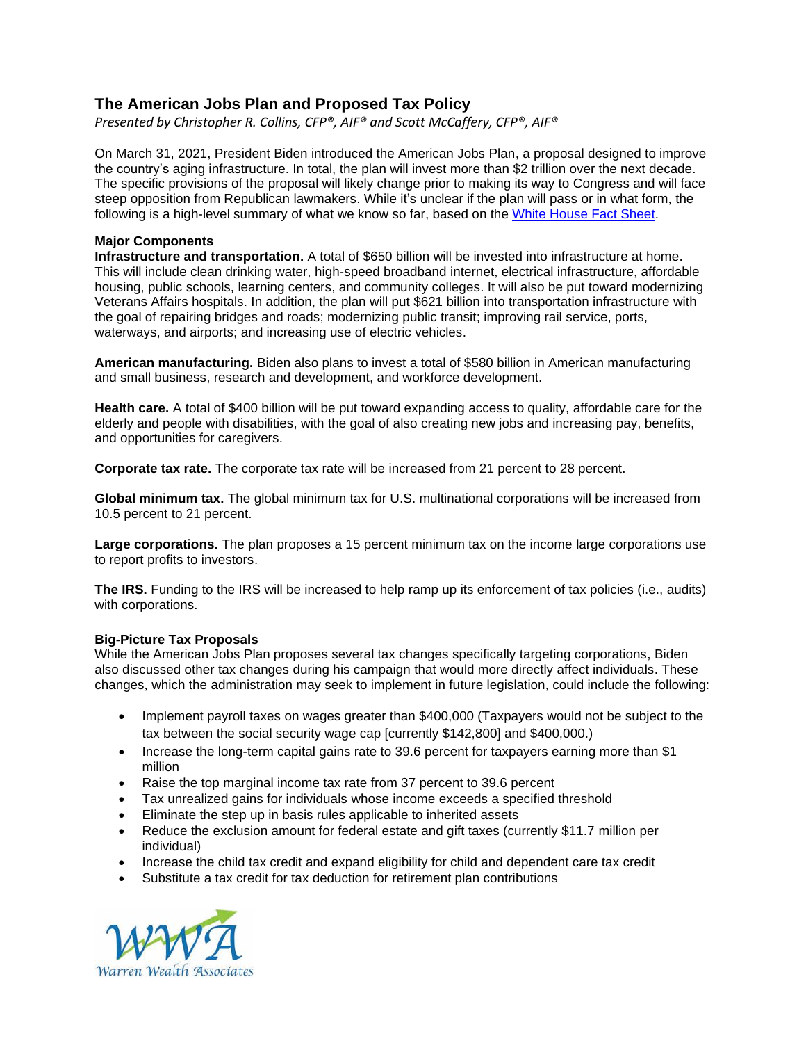## **The American Jobs Plan and Proposed Tax Policy**

*Presented by Christopher R. Collins, CFP®, AIF® and Scott McCaffery, CFP®, AIF®*

On March 31, 2021, President Biden introduced the American Jobs Plan, a proposal designed to improve the country's aging infrastructure. In total, the plan will invest more than \$2 trillion over the next decade. The specific provisions of the proposal will likely change prior to making its way to Congress and will face steep opposition from Republican lawmakers. While it's unclear if the plan will pass or in what form, the following is a high-level summary of what we know so far, based on the [White House Fact Sheet.](https://www.whitehouse.gov/briefing-room/statements-releases/2021/03/31/fact-sheet-the-american-jobs-plan/)

## **Major Components**

**Infrastructure and transportation.** A total of \$650 billion will be invested into infrastructure at home. This will include clean drinking water, high-speed broadband internet, electrical infrastructure, affordable housing, public schools, learning centers, and community colleges. It will also be put toward modernizing Veterans Affairs hospitals. In addition, the plan will put \$621 billion into transportation infrastructure with the goal of repairing bridges and roads; modernizing public transit; improving rail service, ports, waterways, and airports; and increasing use of electric vehicles.

**American manufacturing.** Biden also plans to invest a total of \$580 billion in American manufacturing and small business, research and development, and workforce development.

**Health care.** A total of \$400 billion will be put toward expanding access to quality, affordable care for the elderly and people with disabilities, with the goal of also creating new jobs and increasing pay, benefits, and opportunities for caregivers.

**Corporate tax rate.** The corporate tax rate will be increased from 21 percent to 28 percent.

**Global minimum tax.** The global minimum tax for U.S. multinational corporations will be increased from 10.5 percent to 21 percent.

**Large corporations.** The plan proposes a 15 percent minimum tax on the income large corporations use to report profits to investors.

**The IRS.** Funding to the IRS will be increased to help ramp up its enforcement of tax policies (i.e., audits) with corporations.

## **Big-Picture Tax Proposals**

While the American Jobs Plan proposes several tax changes specifically targeting corporations, Biden also discussed other tax changes during his campaign that would more directly affect individuals. These changes, which the administration may seek to implement in future legislation, could include the following:

- Implement payroll taxes on wages greater than \$400,000 (Taxpayers would not be subject to the tax between the social security wage cap [currently \$142,800] and \$400,000.)
- Increase the long-term capital gains rate to 39.6 percent for taxpayers earning more than \$1 million
- Raise the top marginal income tax rate from 37 percent to 39.6 percent
- Tax unrealized gains for individuals whose income exceeds a specified threshold
- Eliminate the step up in basis rules applicable to inherited assets
- Reduce the exclusion amount for federal estate and gift taxes (currently \$11.7 million per individual)
- Increase the child tax credit and expand eligibility for child and dependent care tax credit
- Substitute a tax credit for tax deduction for retirement plan contributions